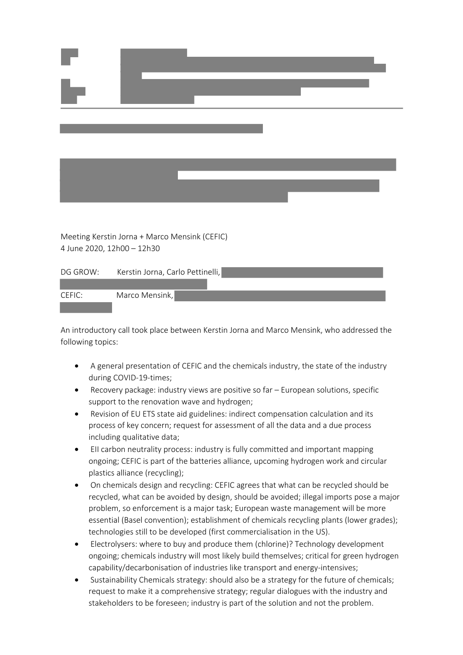

Meeting Kerstin Jorna + Marco Mensink (CEFIC) 4 June 2020, 12h00 – 12h30

| DG GROW: | Kerstin Jorna, Carlo Pettinelli, |  |
|----------|----------------------------------|--|
|          |                                  |  |



An introductory call took place between Kerstin Jorna and Marco Mensink, who addressed the following topics:

- A general presentation of CEFIC and the chemicals industry, the state of the industry during COVID-19-times;
- · Recovery package: industry views are positive so far European solutions, specific support to the renovation wave and hydrogen;
- Revision of EU ETS state aid guidelines: indirect compensation calculation and its process of key concern; request for assessment of all the data and a due process including qualitative data;
- · EII carbon neutrality process: industry is fully committed and important mapping ongoing; CEFIC is part of the batteries alliance, upcoming hydrogen work and circular plastics alliance (recycling);
- · On chemicals design and recycling: CEFIC agrees that what can be recycled should be recycled, what can be avoided by design, should be avoided; illegal imports pose a major problem, so enforcement is a major task; European waste management will be more essential (Basel convention); establishment of chemicals recycling plants (lower grades); technologies still to be developed (first commercialisation in the US).
- · Electrolysers: where to buy and produce them (chlorine)? Technology development ongoing; chemicals industry will most likely build themselves; critical for green hydrogen capability/decarbonisation of industries like transport and energy-intensives;
- · Sustainability Chemicals strategy: should also be a strategy for the future of chemicals; request to make it a comprehensive strategy; regular dialogues with the industry and stakeholders to be foreseen; industry is part of the solution and not the problem.